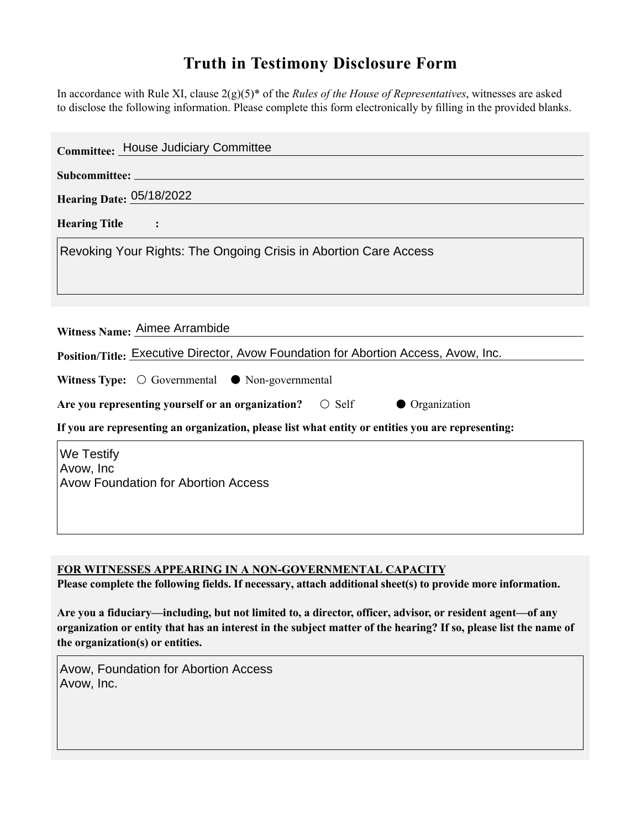## **Truth in Testimony Disclosure Form**

In accordance with Rule XI, clause 2(g)(5)\* of the *Rules of the House of Representatives*, witnesses are asked to disclose the following information. Please complete this form electronically by filling in the provided blanks.

| Committee: House Judiciary Committee                                                                                 |
|----------------------------------------------------------------------------------------------------------------------|
|                                                                                                                      |
| <b>Hearing Date: 05/18/2022</b>                                                                                      |
| <b>Hearing Title</b>                                                                                                 |
| Revoking Your Rights: The Ongoing Crisis in Abortion Care Access                                                     |
| Witness Name: Aimee Arrambide<br>Position/Title: Executive Director, Avow Foundation for Abortion Access, Avow, Inc. |
| Witness Type: $\bigcirc$ Governmental $\bullet$ Non-governmental                                                     |
| Are you representing yourself or an organization? $\bigcirc$ Self<br>• Organization                                  |
| If you are representing an organization, please list what entity or entities you are representing:                   |
| We Testify<br>Avow, Inc<br><b>Avow Foundation for Abortion Access</b>                                                |

**FOR WITNESSES APPEARING IN A NON-GOVERNMENTAL CAPACITY**

**Please complete the following fields. If necessary, attach additional sheet(s) to provide more information.**

**Are you a fiduciary—including, but not limited to, a director, officer, advisor, or resident agent—of any organization or entity that has an interest in the subject matter of the hearing? If so, please list the name of the organization(s) or entities.**

Avow, Foundation for Abortion Access Avow, Inc.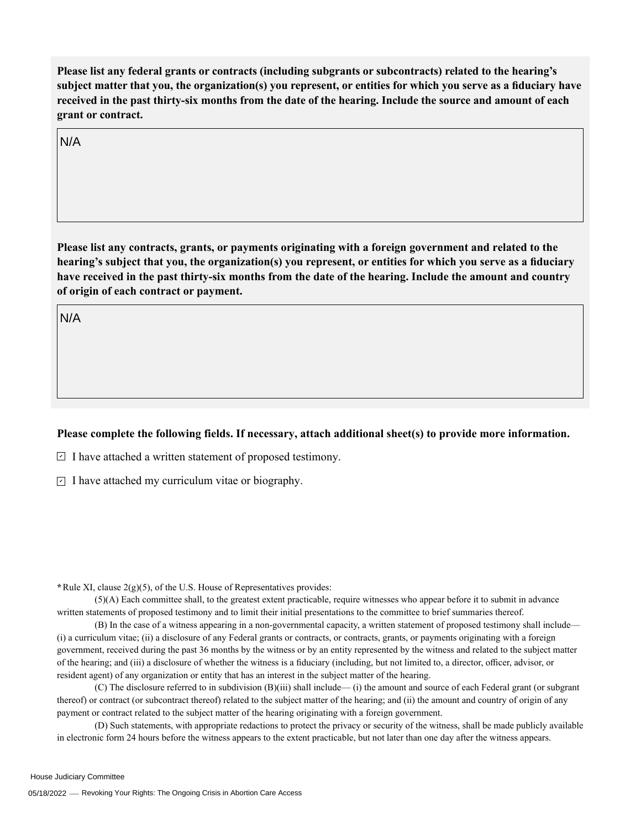**Please list any federal grants or contracts (including subgrants or subcontracts) related to the hearing's subject matter that you, the organization(s) you represent, or entities for which you serve as a fiduciary have received in the past thirty-six months from the date of the hearing. Include the source and amount of each grant or contract.** 

N/A

**Please list any contracts, grants, or payments originating with a foreign government and related to the hearing's subject that you, the organization(s) you represent, or entities for which you serve as a fiduciary have received in the past thirty-six months from the date of the hearing. Include the amount and country of origin of each contract or payment.** 

N/A

## **Please complete the following fields. If necessary, attach additional sheet(s) to provide more information.**

 $\exists$  I have attached a written statement of proposed testimony.

 $\subseteq$  I have attached my curriculum vitae or biography.

**\***Rule XI, clause 2(g)(5), of the U.S. House of Representatives provides:

(5)(A) Each committee shall, to the greatest extent practicable, require witnesses who appear before it to submit in advance written statements of proposed testimony and to limit their initial presentations to the committee to brief summaries thereof.

(B) In the case of a witness appearing in a non-governmental capacity, a written statement of proposed testimony shall include— (i) a curriculum vitae; (ii) a disclosure of any Federal grants or contracts, or contracts, grants, or payments originating with a foreign government, received during the past 36 months by the witness or by an entity represented by the witness and related to the subject matter of the hearing; and (iii) a disclosure of whether the witness is a fiduciary (including, but not limited to, a director, officer, advisor, or resident agent) of any organization or entity that has an interest in the subject matter of the hearing.

(C) The disclosure referred to in subdivision (B)(iii) shall include— (i) the amount and source of each Federal grant (or subgrant thereof) or contract (or subcontract thereof) related to the subject matter of the hearing; and (ii) the amount and country of origin of any payment or contract related to the subject matter of the hearing originating with a foreign government.

(D) Such statements, with appropriate redactions to protect the privacy or security of the witness, shall be made publicly available in electronic form 24 hours before the witness appears to the extent practicable, but not later than one day after the witness appears.